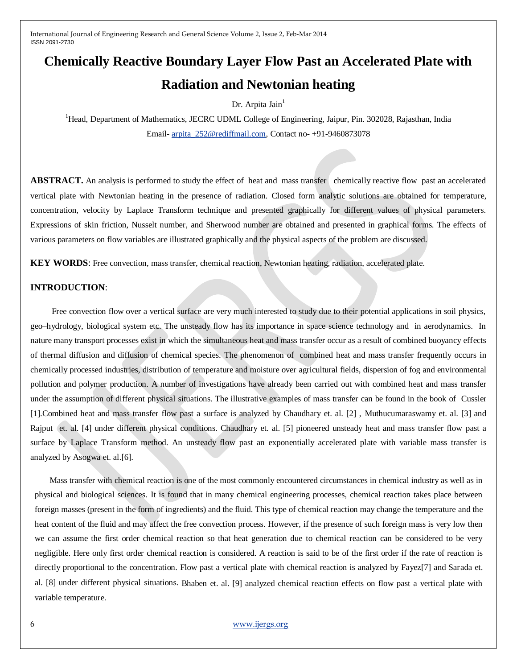# **Chemically Reactive Boundary Layer Flow Past an Accelerated Plate with Radiation and Newtonian heating**

Dr. Arpita Jain $<sup>1</sup>$ </sup>

<sup>1</sup>Head, Department of Mathematics, JECRC UDML College of Engineering, Jaipur, Pin. 302028, Rajasthan, India Email- [arpita\\_252@rediffmail.com,](mailto:arpita_252@rediffmail.com) Contact no- +91-9460873078

**ABSTRACT.** An analysis is performed to study the effect of heat and mass transfer chemically reactive flow past an accelerated vertical plate with Newtonian heating in the presence of radiation. Closed form analytic solutions are obtained for temperature, concentration, velocity by Laplace Transform technique and presented graphically for different values of physical parameters. Expressions of skin friction, Nusselt number, and Sherwood number are obtained and presented in graphical forms. The effects of various parameters on flow variables are illustrated graphically and the physical aspects of the problem are discussed.

**KEY WORDS**: Free convection, mass transfer, chemical reaction, Newtonian heating, radiation, accelerated plate.

#### **INTRODUCTION**:

 Free convection flow over a vertical surface are very much interested to study due to their potential applications in soil physics, geo–hydrology, biological system etc. The unsteady flow has its importance in space science technology and in aerodynamics. In nature many transport processes exist in which the simultaneous heat and mass transfer occur as a result of combined buoyancy effects of thermal diffusion and diffusion of chemical species. The phenomenon of combined heat and mass transfer frequently occurs in chemically processed industries, distribution of temperature and moisture over agricultural fields, dispersion of fog and environmental pollution and polymer production. A number of investigations have already been carried out with combined heat and mass transfer under the assumption of different physical situations. The illustrative examples of mass transfer can be found in the book of Cussler [1].Combined heat and mass transfer flow past a surface is analyzed by Chaudhary et. al. [2] , Muthucumaraswamy et. al. [3] and Rajput et. al. [4] under different physical conditions. Chaudhary et. al. [5] pioneered unsteady heat and mass transfer flow past a surface by Laplace Transform method. An unsteady flow past an exponentially accelerated plate with variable mass transfer is analyzed by Asogwa et. al.[6].

 Mass transfer with chemical reaction is one of the most commonly encountered circumstances in chemical industry as well as in physical and biological sciences. It is found that in many chemical engineering processes, chemical reaction takes place between foreign masses (present in the form of ingredients) and the fluid. This type of chemical reaction may change the temperature and the heat content of the fluid and may affect the free convection process. However, if the presence of such foreign mass is very low then we can assume the first order chemical reaction so that heat generation due to chemical reaction can be considered to be very negligible. Here only first order chemical reaction is considered. A reaction is said to be of the first order if the rate of reaction is directly proportional to the concentration. Flow past a vertical plate with chemical reaction is analyzed by Fayez[7] and Sarada et. al. [8] under different physical situations. Bhaben et. al. [9] analyzed chemical reaction effects on flow past a vertical plate with variable temperature.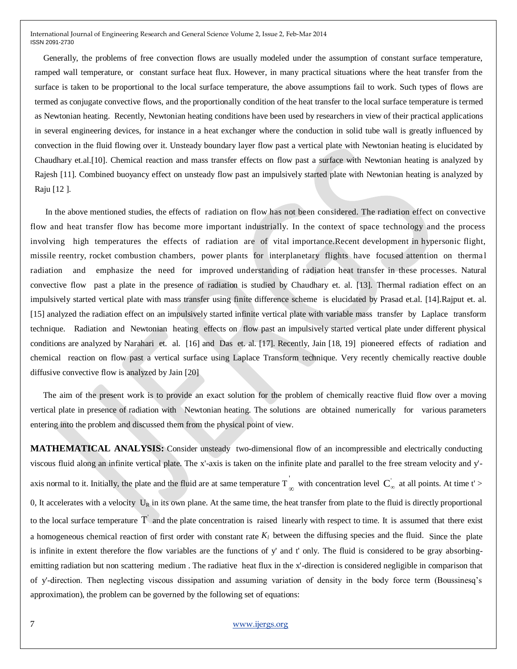Generally, the problems of free convection flows are usually modeled under the assumption of constant surface temperature, ramped wall temperature, or constant surface heat flux. However, in many practical situations where the heat transfer from the surface is taken to be proportional to the local surface temperature, the above assumptions fail to work. Such types of flows are termed as conjugate convective flows, and the proportionally condition of the heat transfer to the local surface temperature is termed as Newtonian heating. Recently, Newtonian heating conditions have been used by researchers in view of their practical applications in several engineering devices, for instance in a heat exchanger where the conduction in solid tube wall is greatly influenced by convection in the fluid flowing over it. Unsteady boundary layer flow past a vertical plate with Newtonian heating is elucidated by Chaudhary et.al.[10]. Chemical reaction and mass transfer effects on flow past a surface with Newtonian heating is analyzed by Rajesh [11]. Combined buoyancy effect on unsteady flow past an impulsively started plate with Newtonian heating is analyzed by Raju [12 ].

 In the above mentioned studies, the effects of radiation on flow has not been considered. The radiation effect on convective flow and heat transfer flow has become more important industrially. In the context of space technology and the process involving high temperatures the effects of radiation are of vital importance.Recent development in hypersonic flight, missile reentry, rocket combustion chambers, power plants for interplanetary flights have focused attention on therma l radiation and emphasize the need for improved understanding of radiation heat transfer in these processes. Natural convective flow past a plate in the presence of radiation is studied by Chaudhary et. al. [13]. Thermal radiation effect on an impulsively started vertical plate with mass transfer using finite difference scheme is elucidated by Prasad et.al. [14].Rajput et. al. [15] analyzed the radiation effect on an impulsively started infinite vertical plate with variable mass transfer by Laplace transform technique. Radiation and Newtonian heating effects on flow past an impulsively started vertical plate under different physical conditions are analyzed by Narahari et. al. [16] and Das et. al. [17]. Recently, Jain [18, 19] pioneered effects of radiation and chemical reaction on flow past a vertical surface using Laplace Transform technique. Very recently chemically reactive double diffusive convective flow is analyzed by Jain [20]

 The aim of the present work is to provide an exact solution for the problem of chemically reactive fluid flow over a moving vertical plate in presence of radiation with Newtonian heating. The solutions are obtained numerically for various parameters entering into the problem and discussed them from the physical point of view.

**MATHEMATICAL ANALYSIS:** Consider unsteady two-dimensional flow of an incompressible and electrically conducting viscous fluid along an infinite vertical plate. The x'-axis is taken on the infinite plate and parallel to the free stream velocity and y' axis normal to it. Initially, the plate and the fluid are at same temperature  $T_{\infty}$  with concentration level  $C_{\infty}$  at all points. At time t' > '0, It accelerates with a velocity  $U_R$  in its own plane. At the same time, the heat transfer from plate to the fluid is directly proportional to the local surface temperature  $\overline{T}$  and the plate concentration is raised linearly with respect to time. It is assumed that there exist a homogeneous chemical reaction of first order with constant rate  $K_l$  between the diffusing species and the fluid. Since the plate is infinite in extent therefore the flow variables are the functions of y' and t' only. The fluid is considered to be gray absorbingemitting radiation but non scattering medium . The radiative heat flux in the x'-direction is considered negligible in comparison that of y'-direction. Then neglecting viscous dissipation and assuming variation of density in the body force term (Boussinesq's approximation), the problem can be governed by the following set of equations: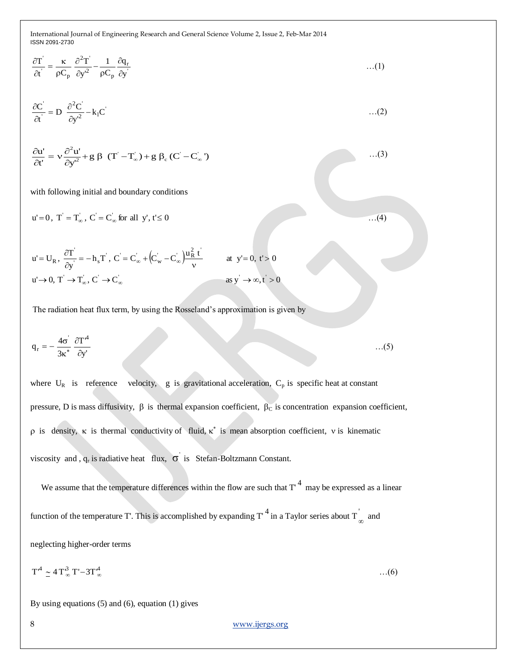$$
\frac{\partial T}{\partial t} = \frac{\kappa}{\rho C_p} \frac{\partial^2 T}{\partial y^2} - \frac{1}{\rho C_p} \frac{\partial q_r}{\partial y}
$$
...(1)

$$
\frac{\partial C^{'}}{\partial t} = D \frac{\partial^2 C^{'}}{\partial y^2} - k_1 C^{'}
$$
...(2)

$$
\frac{\partial u'}{\partial t'} = v \frac{\partial^2 u'}{\partial y'^2} + g \beta (T' - T'_{\infty}) + g \beta_c (C' - C'_{\infty})
$$

with following initial and boundary conditions

$$
u' = 0, T' = T_{\infty}, C' = C_{\infty}^{'} \text{ for all } y', t' \le 0
$$
\n...(4)\n
$$
u' = U_R, \frac{\partial T}{\partial t} = -h_s T, C' = C_{\infty}^{'} + (C_{w}^{'} - C_{\infty}^{'} ) \frac{u_R^2 t}{u'} \qquad \text{at } y' = 0, t' > 0
$$

…(3)

$$
u' \rightarrow 0, T' \rightarrow T_{\infty}, C' \rightarrow C_{\infty}
$$
 as  $y' \rightarrow \infty, t' > 0$ 

The radiation heat flux term, by using the Rosseland's approximation is given by

$$
q_r = -\frac{4\sigma^2}{3\kappa^*} \frac{\partial T^4}{\partial y^4} \qquad \qquad \dots (5)
$$

where  $U_R$  is reference velocity, g is gravitational acceleration,  $C_p$  is specific heat at constant pressure, D is mass diffusivity,  $\beta$  is thermal expansion coefficient,  $\beta_c$  is concentration expansion coefficient,  $\rho$  is density,  $\kappa$  is thermal conductivity of fluid,  $\kappa^*$  is mean absorption coefficient, v is kinematic viscosity and,  $q_r$  is radiative heat flux,  $\sigma$  is Stefan-Boltzmann Constant.

We assume that the temperature differences within the flow are such that  $T'^4$  may be expressed as a linear function of the temperature T'. This is accomplished by expanding T'<sup>4</sup> in a Taylor series about T<sub> $_{\infty}$ </sub> and neglecting higher-order terms

$$
T^4 \simeq 4 T^3 \circ T' - 3T^4 \circ \dots \tag{6}
$$

By using equations  $(5)$  and  $(6)$ , equation  $(1)$  gives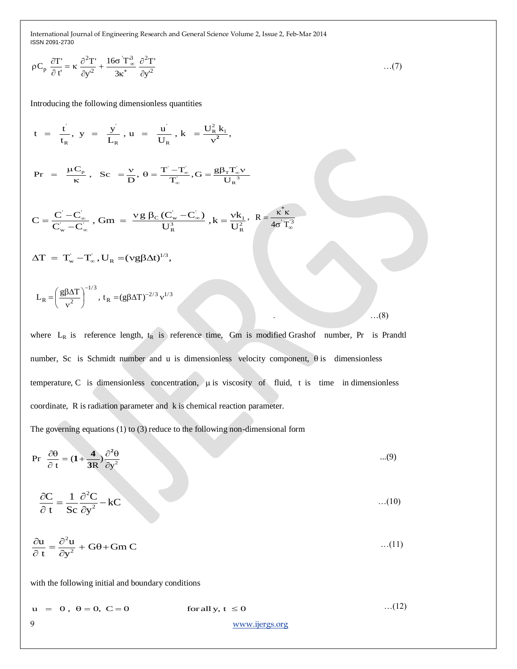$$
\rho C_p \frac{\partial T'}{\partial t'} = \kappa \frac{\partial^2 T'}{\partial y'^2} + \frac{16\sigma' T_{\infty}^3}{3\kappa^*} \frac{\partial^2 T'}{\partial y'^2} \qquad \qquad \dots (7)
$$

Introducing the following dimensionless quantities

Inroducing the following dimensions equations  
\n
$$
t = \frac{t}{t_R}, y = \frac{y}{L_R}, u = \frac{u}{U_R}, k = \frac{U_R^2 k_I}{v^2},
$$
\n
$$
Pr = \frac{\mu C_p}{\kappa}, Sc = \frac{v}{D}, \theta = \frac{T' - T'_\infty}{T'_\infty}, G = \frac{g\beta_T T'_\infty v}{U_R^3}
$$
\n
$$
C = \frac{C' - C'_\infty}{C'_w - C'_\infty}, Gm = \frac{v g \beta_C (C'_w - C'_\infty)}{U_R^3}, k = \frac{vk_I}{U_R^2}, R = \frac{\kappa^* \kappa}{4\sigma^2 T_\infty^3}
$$
\n
$$
\Delta T = T'_w - T'_\infty, U_R = (v g \beta \Delta t)^{1/3},
$$
\n
$$
L_R = \left(\frac{g\beta\Delta T}{v^2}\right)^{-1/3}, t_R = (g \beta\Delta T)^{-2/3} v^{1/3}
$$

where  $L_R$  is reference length,  $t_R$  is reference time, Gm is modified Grashof number, Pr is Prandtl number, Sc is Schmidt number and u is dimensionless velocity component,  $\theta$  is dimensionless temperature,  $C$  is dimensionless concentration,  $\mu$  is viscosity of fluid, t is time in dimensionless coordinate, R is radiation parameter and k is chemical reaction parameter.

.  $\ldots$  (8)

The governing equations (1) to (3) reduce to the following non-dimensional form

$$
\Pr \frac{\partial \theta}{\partial t} = (1 + \frac{4}{3R}) \frac{\partial^2 \theta}{\partial y^2}
$$
...(9)

$$
\frac{\partial C}{\partial t} = \frac{1}{Sc} \frac{\partial^2 C}{\partial y^2} - kC \tag{10}
$$

$$
\frac{\partial u}{\partial t} = \frac{\partial^2 u}{\partial y^2} + G\theta + Gm C
$$
...(11)

with the following initial and boundary conditions<br>  $u = 0, \theta = 0, C = 0$  for all y,  $t \le 0$ …(12)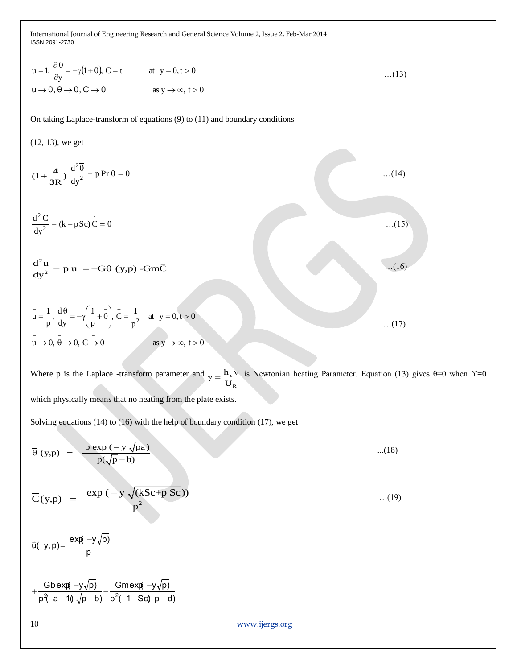$$
u = 1, \frac{\partial \theta}{\partial y} = -\gamma (1 + \theta), C = t \qquad \text{at } y = 0, t > 0 \tag{13}
$$
  

$$
u \to 0, \theta \to 0, C \to 0 \qquad \text{as } y \to \infty, t > 0
$$

On taking Laplace-transform of equations (9) to (11) and boundary conditions

(12, 13), we get

u = 1, 
$$
\frac{3x}{dy} = -\gamma(1+0)
$$
, C = t  
\nu $\rightarrow 0, \theta \rightarrow 0, C \rightarrow 0$  as y  $\rightarrow \infty, t > 0$  ...(13)  
\nu $\rightarrow 0, \theta \rightarrow 0, C \rightarrow 0$  as y  $\rightarrow \infty, t > 0$  ...(14)  
\nOn taking Laplace-transform of equations (9) to (11) and boundary conditions  
\n(12, 13), we get  
\n
$$
(1 + \frac{4}{3R}) \frac{d^2\bar{\theta}}{dy^2} - p \overline{Y}r \overline{0} = 0
$$
\n...(14)  
\n
$$
\frac{d^2\bar{C}}{dy^2} - (k + pSc)\bar{C} = 0
$$
\n...(15)  
\n
$$
\frac{d^2\bar{u}}{dy^2} - p \overline{u} = -G\overline{\theta} (y, p) - Gm\overline{C}
$$
\n
$$
\overline{u} = \frac{1}{p}, \frac{d\bar{v}}{dy} = -\gamma(\frac{1}{p} + \theta), \overline{C} = \frac{1}{p^2}
$$
 at y = 0, t > 0 ...(17)  
\n
$$
\overline{u} \rightarrow 0, \overline{\theta} \rightarrow 0, C \overline{\rightarrow} 0
$$
\nWhere p is the Laplace transform parameter and  $\gamma = \frac{h, v}{U_R}$  is Newtonian heating Parameter. Equation (13) g  
\nwhich physically means that no heating from the plate exists.  
\nSolving equations (14) to (16) with the help of boundary condition (17), we get  
\n
$$
\overline{\theta} (y, p) = \frac{b \exp(-y \sqrt{p\omega})}{p(\sqrt{p} - b)}
$$
\n...(18)  
\n
$$
\overline{C}(y, p) = \frac{\exp(-y \sqrt{(kSc+p Sc)})}{p^2}
$$
\n...(19)  
\n
$$
\overline{u} (y, p) = \frac{\exp(-y \sqrt{2kSc+p Sc})}{p^2}
$$
\n
$$
+ \frac{Gb \exp(-y\sqrt{p})}{p^2(a - 1)(\sqrt{p} - b)} - \frac{Gm \exp(-y\sqrt{p})}{p^2(1 - Sq) p - d)}
$$
\nxvwwijergs.org

Where p is the Laplace -transform parameter and  $\sqrt{a} = \frac{h}{s}$ R h  $\overline{\mathbf{U}}$  $\gamma = \frac{\mathbf{h}_s \mathbf{v}}{g}$  is Newtonian heating Parameter. Equation (13) gives  $\theta = 0$  when  $\gamma = 0$ which physically means that no heating from the plate exists.

Solving equations (14) to (16) with the help of boundary condition (17), we get

$$
\overline{\theta}(y,p) = \frac{b \exp(-y \sqrt{pa})}{p(\sqrt{p} - b)}
$$
...(18)  

$$
\overline{C}(y,p) = \frac{\exp(-y \sqrt{(kSc+p Sc)})}{p^2}
$$
...(19)  

$$
\overline{u}(y,p) = \frac{\exp(-y\sqrt{p})}{p}
$$
  
+ 
$$
\frac{Gb \exp(-y\sqrt{p})}{p^2(a-1)\sqrt{p} - b)} - \frac{Gm \exp(-y\sqrt{p})}{p^2(1-Sd)p - d}
$$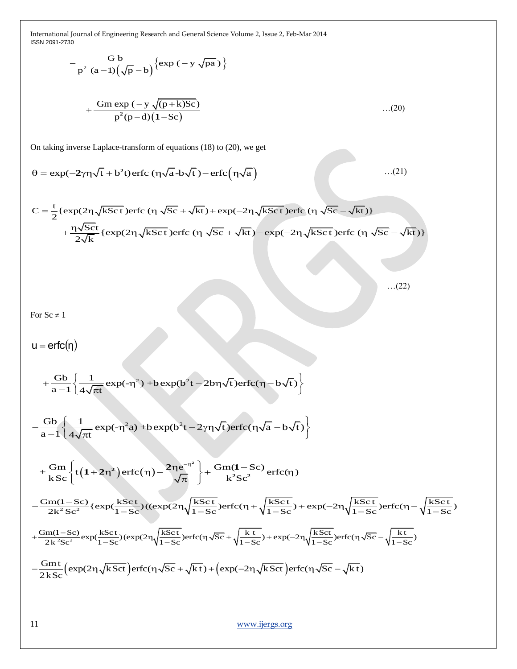$$
-\frac{G b}{p^{2} (a-1)(\sqrt{p}-b)} \{ \exp(-y \sqrt{pa}) \}
$$
  
+ 
$$
\frac{G m \exp(-y \sqrt{p+k})}{p^{2}(p-d)(1-Sc)} \qquad ...(20)
$$

On taking inverse Laplace-transform of equations (18) to (20), we get  
\n
$$
\theta = \exp(-2\gamma \eta \sqrt{t} + b^2 t) \operatorname{erfc}(\eta \sqrt{a} - b \sqrt{t}) - \operatorname{erfc}(\eta \sqrt{a}) \qquad ...(21)
$$

$$
\theta = \exp(-2\gamma \eta \sqrt{t} + b^2 t) \text{erfc}(\eta \sqrt{a} - b\sqrt{t}) - \text{erfc}(\eta \sqrt{a}) \qquad ...(21)
$$
  

$$
C = \frac{t}{2} \{ \exp(2\eta \sqrt{k} Sct) \text{erfc}(\eta \sqrt{Sc} + \sqrt{kt}) + \exp(-2\eta \sqrt{k} Sct) \text{erfc}(\eta \sqrt{Sc} - \sqrt{kt}) \} + \frac{\eta \sqrt{Sct}}{2\sqrt{k}} \{ \exp(2\eta \sqrt{k} Sct) \text{erfc}(\eta \sqrt{Sc} + \sqrt{kt}) - \exp(-2\eta \sqrt{k} Sct) \text{erfc}(\eta \sqrt{Sc} - \sqrt{kt}) \}
$$

$$
\dots (22)
$$

For  $Sc \neq 1$ 

 $u = \text{erfc}(\eta)$ 

$$
u = \text{erfc}(\eta)
$$
  
+  $\frac{Gb}{a-1} \left\{ \frac{1}{4\sqrt{\pi t}} \exp(-\eta^2) + b \exp(b^2 t - 2b\eta\sqrt{t}) \text{erfc}(\eta - b\sqrt{t}) \right\}$ 

$$
a-1\left\{4\sqrt{\pi t} \exp(-t^2)\right\} + 2\exp(-t^2)\exp(-t^2)\exp(-t^2)\exp(-t^2)\exp(-t^2)\exp(-t^2)\exp(-t^2)\exp(-t^2)\exp(-t^2)\exp(-t^2)\exp(-t^2)\exp(-t^2)\exp(-t^2)\exp(-t^2)\exp(-t^2)\exp(-t^2)\exp(-t^2)\exp(-t^2)\exp(-t^2)\exp(-t^2)\exp(-t^2)\exp(-t^2)\exp(-t^2)\exp(-t^2)\exp(-t^2)\exp(-t^2)\exp(-t^2)\exp(-t^2)\exp(-t^2)\exp(-t^2)\exp(-t^2)\exp(-t^2)\exp(-t^2)\exp(-t^2)\exp(-t^2)\exp(-t^2)\exp(-t^2)\exp(-t^2)\exp(-t^2)\exp(-t^2)\exp(-t^2)\exp(-t^2)\exp(-t^2)\exp(-t^2)\exp(-t^2)\exp(-t^2)\exp(-t^2)\exp(-t^2)\exp(-t^2)\exp(-t^2)\exp(-t^2)\exp(-t^2)\exp(-t^2)\exp(-t^2)\exp(-t^2)\exp(-t^2)\exp(-t^2)\exp(-t^2)\exp(-t^2)\exp(-t^2)\exp(-t^2)\exp(-t^2)\exp(-t^2)\exp(-t^2)\exp(-t^2)\exp(-t^2)\exp(-t^2)\exp(-t^2)\exp(-t^2)\exp(-t^2)\exp(-t^2)\exp(-t^2)\exp(-t^2)\exp(-t^2)\exp(-t^2)\exp(-t^2)\exp(-t^2)\exp(-t^2)\exp(-t^2)\exp(-t^2)\exp(-t^2)\exp(-t^2)\exp(-t^2)\exp(-t^2)\exp(-t^2)\exp(-t^2)\exp(-t^2)\exp(-t^2)\exp(-t^2)\exp(-t^2)\exp(-t^2)\exp(-t^2)\exp(-t^2)\exp(-t^2)\exp(-t^2)\exp(-t^2)\exp(-t^2)\exp(-t^2)\exp(-t^2)\exp(-t^2)\exp(-t^2)\exp(-t^2)\exp(-t^2)\exp(-t^2)\exp(-t^2)\exp(-t^2)\exp(-t^2)\exp(-t^2)\exp(-t^2)\exp(-t^2)\exp(-t^2)\exp(-t^2)\exp(-t^2)\exp(-t^2)\exp(-t^2)\exp(-t^2)\exp(-t^2)\exp(-t^2)\exp(-t^2)\exp(-t^2)\exp(-t^2)\exp(-t^2
$$

$$
a = 1 \left( 4\sqrt{\pi t} \right)
$$
  
+ 
$$
\frac{Gm}{kSc} \left\{ t \left( 1 + 2\eta^2 \right) \text{erfc}(\eta) - \frac{2\eta e^{-\eta^2}}{\sqrt{\pi}} \right\} + \frac{Gm(1 - Sc)}{k^2Sc^2} \text{erfc}(\eta)
$$

$$
+\frac{Gm}{kSc} \left\{ t \left( 1+2\eta^2 \right) \text{erfc} \left( \eta \right) - \frac{2\eta e^{-\eta^2}}{\sqrt{\pi}} \right\} + \frac{Gm(1-Sc)}{k^2Sc^2} \text{erfc} \left( \eta \right) \newline -\frac{Gm(1-Sc)}{2k^2Sc^2} \left\{ \text{exp}(\frac{kSct}{1-Sc}) \left( (\text{exp}(2\eta \sqrt{\frac{kSct}{1-Sc}}) \text{erfc} \left( \eta + \sqrt{\frac{kSct}{1-Sc}} \right) + \text{exp}(-2\eta \sqrt{\frac{kSct}{1-Sc}} \text{erfc} \left( \eta - \sqrt{\frac{kSct}{1-Sc}} \right) \right) \right\} \newline +\frac{Gm(1-Sc)}{2k^2Sc^2} \text{exp}(\frac{kSct}{1-Sc}) \left( \text{exp}(2\eta \sqrt{\frac{kSct}{1-Sc}}) \text{erfc} \left( \eta \sqrt{Sc} + \sqrt{\frac{kt}{1-Sc}} \right) + \text{exp}(-2\eta \sqrt{\frac{kSct}{1-Sc}}) \text{erfc} \left( \eta \sqrt{Sc} - \sqrt{\frac{kt}{1-Sc}} \right) \right) \newline -\frac{Gm t}{2kSc} \left( \text{exp}(2\eta \sqrt{k}Ct) \text{erfc} \left( \eta \sqrt{Sc} + \sqrt{k}t \right) + \left( \text{exp}(-2\eta \sqrt{k}Ct) \text{erfc} \left( \eta \sqrt{Sc} - \sqrt{k}t \right) \right) \newline
$$

$$
-\frac{Gmt}{2kSc} \left(\exp(2\eta \sqrt{kSct})\right) \text{erfc}(\eta \sqrt{Sc} + \sqrt{kt}) + \left(\exp(-2\eta \sqrt{kSct})\right) \text{erfc}(\eta \sqrt{Sc} - \sqrt{kt})
$$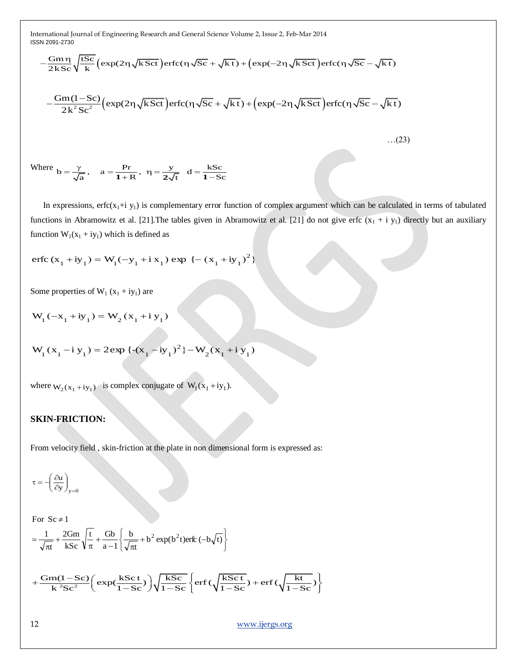\nInternational Journal of Engineering Research and General Science Volume 2, Issue 2, Feb-Mar 2014\n
$$
-\frac{Gm\eta}{2kSc}\sqrt{\frac{tSc}{k}}\left(\exp(2\eta\sqrt{kSct})\text{erfc}(\eta\sqrt{Sc}+\sqrt{kt})+\left(\exp(-2\eta\sqrt{kSct})\text{erfc}(\eta\sqrt{Sc}-\sqrt{kt}\right)\right)
$$
\n
$$
-\frac{Gm(1-Sc)}{2k^{2}Sc^{2}}\left(\exp(2\eta\sqrt{kSct})\text{erfc}(\eta\sqrt{Sc}+\sqrt{kt})+\left(\exp(-2\eta\sqrt{kSct})\text{erfc}(\eta\sqrt{Sc}-\sqrt{kt}\right)\right)
$$
\n...(23)\n

Where 
$$
b = \frac{\gamma}{\sqrt{a}}
$$
,  $a = \frac{Pr}{1+R}$ ,  $\eta = \frac{y}{2\sqrt{t}}$   $d = \frac{kSc}{1-Sc}$ 

In expressions, erfc( $x_1 + i y_1$ ) is complementary error function of complex argument which can be calculated in terms of tabulated functions in Abramowitz et al. [21]. The tables given in Abramowitz et al. [21] do not give erfc  $(x_1 + i y_1)$  directly but an auxiliary function  $W_1(x_1 + iy_1)$  which is defined as

erfc 
$$
(x_1 + iy_1) = W_1(-y_1 + i x_1) \exp \{-(x_1 + iy_1)^2\}
$$

Some properties of  $W_1$  ( $x_1 + iy_1$ ) are

$$
W_1(-x_1 + iy_1) = W_2(x_1 + iy_1)
$$

$$
W_1(x_1 - iy_1) = 2 \exp \{-(x_1 - iy_1)^2\} - W_2(x_1 + iy_1)
$$

where  $W_2(x_1 + iy_1)$  is complex conjugate of  $W_1(x_1 + iy_1)$ .

#### **SKIN-FRICTION:**

From velocity field , skin-friction at the plate in non dimensional form is expressed as:

$$
\tau=-\!\!\left(\frac{\partial u}{\partial y}\right)_{y=0}
$$

J  $\left\{ \right.$  $\mathbf{I}$  $\overline{\mathfrak{l}}$ ₹  $+\frac{2Gm}{kSc}\sqrt{\frac{t}{\pi}}+\frac{Gb}{a-1}\left\{\frac{b}{\sqrt{\pi t}}+b^2 \exp(b^2 t) \text{erfc}\left(-\right)\right\}$  $\pi$  $=$   $\frac{1}{\sqrt{2}} + \frac{2 \text{G}}{1} \left( \frac{1}{2} + \frac{\text{G}}{1} \right) \left( \frac{b}{\sqrt{2}} + b^2 \exp(b^2 t) \right)$ erfc  $\left( -b\sqrt{t} \right)$ For  $Sc \neq 1$ t b  $a - 1$ t Gb kSc 2Gm t

$$
= \frac{1}{\sqrt{\pi t}} + \frac{2Gm}{kSc} \sqrt{\frac{t}{\pi}} + \frac{Gb}{a-1} \left\{ \frac{b}{\sqrt{\pi t}} + b^2 \exp(b^2 t) \text{erfc}(-b\sqrt{t}) \right\}
$$

$$
+ \frac{Gm(1 - Sc)}{k^2Sc^2} \left( \exp(\frac{kSct}{1 - Sc}) \right) \sqrt{\frac{kSc}{1 - Sc}} \left\{ \text{erfc}(\sqrt{\frac{kSct}{1 - Sc}}) + \text{erfc}(\sqrt{\frac{kt}{1 - Sc}}) \right\}
$$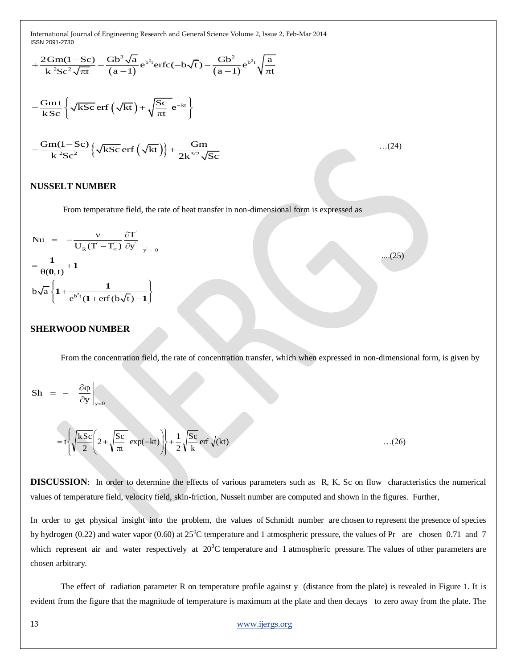ISSN 2091-2730

International Journal of Engineering Research and General Science Volume 2, Issue 2, Feb-Mar 2014

\nISSN 2091-2730

\n
$$
+\frac{2\text{Gm}(1-\text{Sc})}{k^{2}\text{Sc}^{2}\sqrt{\pi t}} - \frac{\text{Gb}^{3}\sqrt{a}}{(a-1)}e^{b^{2}t}\text{erfc}(-b\sqrt{t}) - \frac{\text{Gb}^{2}}{(a-1)}e^{b^{2}t}\sqrt{\frac{a}{\pi t}}
$$
\n
$$
-\frac{\text{Gm}t}{k\text{Sc}}\left\{\sqrt{k\text{Sc}}\text{erf}\left(\sqrt{k t}\right) + \sqrt{\frac{\text{Sc}}{\pi t}}e^{-kt}\right\}
$$
\n
$$
-\frac{\text{Gm}(1-\text{Sc})}{k^{2}\text{Sc}^{2}}\left\{\sqrt{k\text{Sc}}\text{erf}\left(\sqrt{k t}\right)\right\} + \frac{\text{Gm}}{2k^{3/2}\sqrt{\text{Sc}}}\qquad\qquad(24)
$$

#### **NUSSELT NUMBER**

From temperature field, the rate of heat transfer in non-dimensional form is expressed as

$$
Nu = -\frac{v}{U_R(T'-T_{\infty})}\frac{\partial T}{\partial y}\Big|_{y'=0}
$$

$$
=\frac{1}{\theta(0,t)}+1
$$

$$
b\sqrt{a}\left\{1+\frac{1}{e^{b^2t}(1+erf(b\sqrt{t})-1)}\right\}
$$

#### **SHERWOOD NUMBER**

From the concentration field, the rate of concentration transfer, which when expressed in non-dimensional form, is given by

 $\dots(25)$ 

$$
Sh = - \left. \frac{\partial \varphi}{\partial y} \right|_{y=0}
$$

$$
= t \left\{ \sqrt{\frac{kSc}{2}} \left( 2 + \sqrt{\frac{Sc}{\pi t}} \exp(-kt) \right) \right\} + \frac{1}{2} \sqrt{\frac{Sc}{k}} \, erf \sqrt{(kt)} \qquad \qquad \dots (26)
$$

**DISCUSSION:** In order to determine the effects of various parameters such as R, K, Sc on flow characteristics the numerical values of temperature field, velocity field, skin-friction, Nusselt number are computed and shown in the figures. Further,

In order to get physical insight into the problem, the values of Schmidt number are chosen to represent the presence of species by hydrogen (0.22) and water vapor (0.60) at  $25^{\circ}$ C temperature and 1 atmospheric pressure, the values of Pr are chosen 0.71 and 7 which represent air and water respectively at  $20^{\circ}$ C temperature and 1 atmospheric pressure. The values of other parameters are chosen arbitrary.

The effect of radiation parameter R on temperature profile against y (distance from the plate) is revealed in Figure 1. It is evident from the figure that the magnitude of temperature is maximum at the plate and then decays to zero away from the plate. The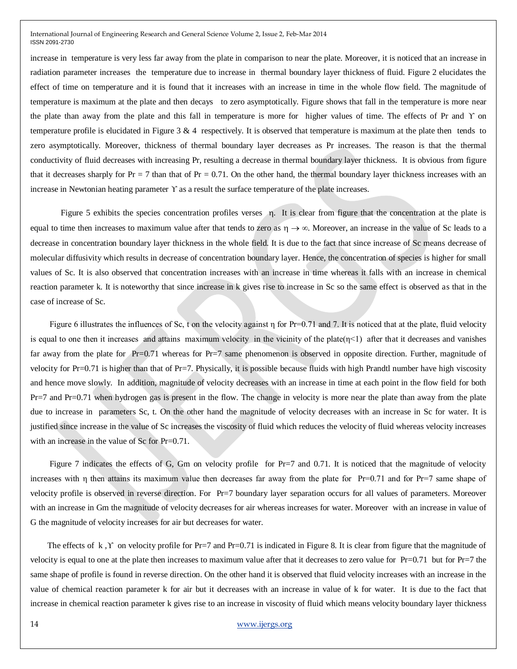increase in temperature is very less far away from the plate in comparison to near the plate. Moreover, it is noticed that an increase in radiation parameter increases the temperature due to increase in thermal boundary layer thickness of fluid. Figure 2 elucidates the effect of time on temperature and it is found that it increases with an increase in time in the whole flow field. The magnitude of temperature is maximum at the plate and then decays to zero asymptotically. Figure shows that fall in the temperature is more near the plate than away from the plate and this fall in temperature is more for higher values of time. The effects of Pr and ϒ on temperature profile is elucidated in Figure 3  $\&$  4 respectively. It is observed that temperature is maximum at the plate then tends to zero asymptotically. Moreover, thickness of thermal boundary layer decreases as Pr increases. The reason is that the thermal conductivity of fluid decreases with increasing Pr, resulting a decrease in thermal boundary layer thickness. It is obvious from figure that it decreases sharply for  $Pr = 7$  than that of  $Pr = 0.71$ . On the other hand, the thermal boundary layer thickness increases with an increase in Newtonian heating parameter  $\Upsilon$  as a result the surface temperature of the plate increases.

Figure 5 exhibits the species concentration profiles verses  $\eta$ . It is clear from figure that the concentration at the plate is equal to time then increases to maximum value after that tends to zero as  $\eta \to \infty$ . Moreover, an increase in the value of Sc leads to a decrease in concentration boundary layer thickness in the whole field. It is due to the fact that since increase of Sc means decrease of molecular diffusivity which results in decrease of concentration boundary layer. Hence, the concentration of species is higher for small values of Sc. It is also observed that concentration increases with an increase in time whereas it falls with an increase in chemical reaction parameter k. It is noteworthy that since increase in k gives rise to increase in Sc so the same effect is observed as that in the case of increase of Sc.

Figure 6 illustrates the influences of Sc, t on the velocity against η for Pr=0.71 and 7. It is noticed that at the plate, fluid velocity is equal to one then it increases and attains maximum velocity in the vicinity of the plate $(\eta < 1)$  after that it decreases and vanishes far away from the plate for Pr=0.71 whereas for Pr=7 same phenomenon is observed in opposite direction. Further, magnitude of velocity for Pr=0.71 is higher than that of Pr=7. Physically, it is possible because fluids with high Prandtl number have high viscosity and hence move slowly. In addition, magnitude of velocity decreases with an increase in time at each point in the flow field for both Pr=7 and Pr=0.71 when hydrogen gas is present in the flow. The change in velocity is more near the plate than away from the plate due to increase in parameters Sc, t. On the other hand the magnitude of velocity decreases with an increase in Sc for water. It is justified since increase in the value of Sc increases the viscosity of fluid which reduces the velocity of fluid whereas velocity increases with an increase in the value of Sc for Pr=0.71.

Figure 7 indicates the effects of G, Gm on velocity profile for Pr=7 and 0.71. It is noticed that the magnitude of velocity increases with η then attains its maximum value then decreases far away from the plate for Pr=0.71 and for Pr=7 same shape of velocity profile is observed in reverse direction. For Pr=7 boundary layer separation occurs for all values of parameters. Moreover with an increase in Gm the magnitude of velocity decreases for air whereas increases for water. Moreover with an increase in value of G the magnitude of velocity increases for air but decreases for water.

The effects of k,  $\Upsilon$  on velocity profile for Pr=7 and Pr=0.71 is indicated in Figure 8. It is clear from figure that the magnitude of velocity is equal to one at the plate then increases to maximum value after that it decreases to zero value for  $Pr=0.71$  but for  $Pr=7$  the same shape of profile is found in reverse direction. On the other hand it is observed that fluid velocity increases with an increase in the value of chemical reaction parameter k for air but it decreases with an increase in value of k for water. It is due to the fact that increase in chemical reaction parameter k gives rise to an increase in viscosity of fluid which means velocity boundary layer thickness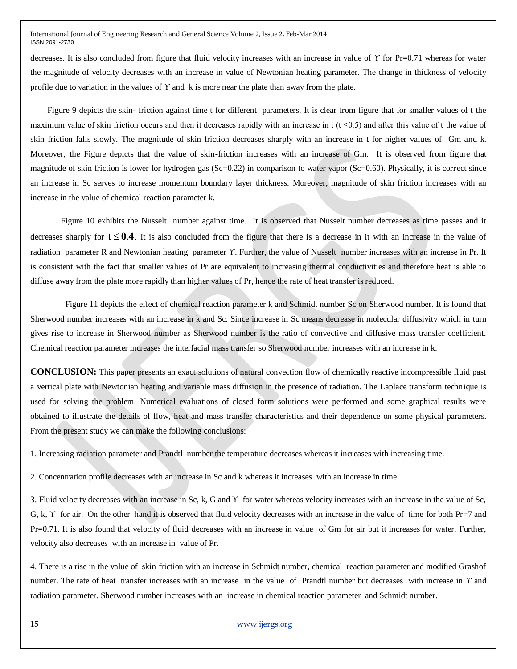decreases. It is also concluded from figure that fluid velocity increases with an increase in value of ϒ for Pr=0.71 whereas for water the magnitude of velocity decreases with an increase in value of Newtonian heating parameter. The change in thickness of velocity profile due to variation in the values of  $\Upsilon$  and k is more near the plate than away from the plate.

 Figure 9 depicts the skin- friction against time t for different parameters. It is clear from figure that for smaller values of t the maximum value of skin friction occurs and then it decreases rapidly with an increase in t (t  $\leq 0.5$ ) and after this value of t the value of skin friction falls slowly. The magnitude of skin friction decreases sharply with an increase in t for higher values of Gm and k. Moreover, the Figure depicts that the value of skin-friction increases with an increase of Gm. It is observed from figure that magnitude of skin friction is lower for hydrogen gas  $(Sc=0.22)$  in comparison to water vapor  $(Sc=0.60)$ . Physically, it is correct since an increase in Sc serves to increase momentum boundary layer thickness. Moreover, magnitude of skin friction increases with an increase in the value of chemical reaction parameter k.

Figure 10 exhibits the Nusselt number against time. It is observed that Nusselt number decreases as time passes and it decreases sharply for  $t \leq 0.4$ . It is also concluded from the figure that there is a decrease in it with an increase in the value of radiation parameter R and Newtonian heating parameter ϒ. Further, the value of Nusselt number increases with an increase in Pr. It is consistent with the fact that smaller values of Pr are equivalent to increasing thermal conductivities and therefore heat is able to diffuse away from the plate more rapidly than higher values of Pr, hence the rate of heat transfer is reduced.

 Figure 11 depicts the effect of chemical reaction parameter k and Schmidt number Sc on Sherwood number. It is found that Sherwood number increases with an increase in k and Sc. Since increase in Sc means decrease in molecular diffusivity which in turn gives rise to increase in Sherwood number as Sherwood number is the ratio of convective and diffusive mass transfer coefficient. Chemical reaction parameter increases the interfacial mass transfer so Sherwood number increases with an increase in k.

**CONCLUSION:** This paper presents an exact solutions of natural convection flow of chemically reactive incompressible fluid past a vertical plate with Newtonian heating and variable mass diffusion in the presence of radiation. The Laplace transform technique is used for solving the problem. Numerical evaluations of closed form solutions were performed and some graphical results were obtained to illustrate the details of flow, heat and mass transfer characteristics and their dependence on some physical parameters. From the present study we can make the following conclusions:

1. Increasing radiation parameter and Prandtl number the temperature decreases whereas it increases with increasing time.

2. Concentration profile decreases with an increase in Sc and k whereas it increases with an increase in time.

3. Fluid velocity decreases with an increase in Sc, k, G and ϒ for water whereas velocity increases with an increase in the value of Sc, G, k, ϒ for air. On the other hand it is observed that fluid velocity decreases with an increase in the value of time for both Pr=7 and Pr=0.71. It is also found that velocity of fluid decreases with an increase in value of Gm for air but it increases for water. Further, velocity also decreases with an increase in value of Pr.

4. There is a rise in the value of skin friction with an increase in Schmidt number, chemical reaction parameter and modified Grashof number. The rate of heat transfer increases with an increase in the value of Prandtl number but decreases with increase in ϒ and radiation parameter. Sherwood number increases with an increase in chemical reaction parameter and Schmidt number.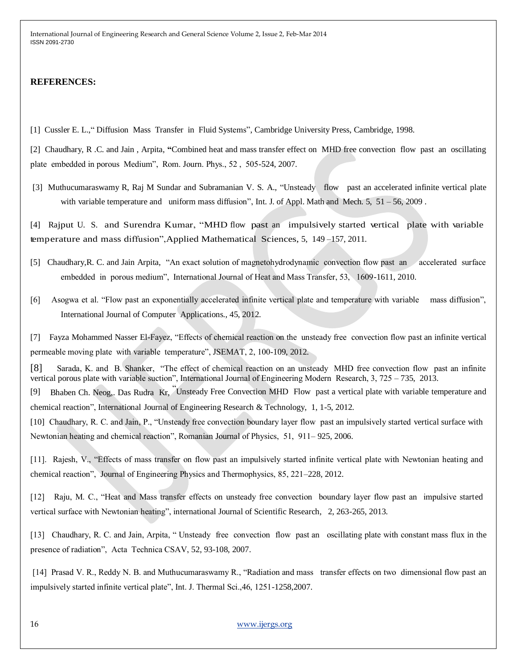#### **REFERENCES:**

[1] Cussler E. L.," Diffusion Mass Transfer in Fluid Systems", Cambridge University Press, Cambridge, 1998.

[2] Chaudhary, R .C. and Jain , Arpita, **"**Combined heat and mass transfer effect on MHD free convection flow past an oscillating plate embedded in porous Medium", Rom. Journ. Phys., 52 , 505-524, 2007.

[3] Muthucumaraswamy R, Raj M Sundar and Subramanian V. S. A., "Unsteady flow past an accelerated infinite vertical plate with variable temperature and uniform mass diffusion", Int. J. of Appl. Math and Mech. 5, 51 – 56, 2009.

[4] Rajput U. S. and Surendra Kumar, "MHD flow past an impulsively started vertical plate with variable temperature and mass diffusion",Applied Mathematical Sciences, 5, 149 –157, 2011.

- [5] Chaudhary,R. C. and Jain Arpita, "An exact solution of magnetohydrodynamic convection flow past an accelerated surface embedded in porous medium", International Journal of Heat and Mass Transfer, 53, 1609-1611, 2010.
- [6] Asogwa et al. "Flow past an exponentially accelerated infinite vertical plate and temperature with variable mass diffusion", International Journal of Computer Applications., 45, 2012.

[7] Fayza Mohammed Nasser El-Fayez, "Effects of chemical reaction on the unsteady free convection flow past an infinite vertical permeable moving plate with variable temperature", JSEMAT, 2, 100-109, 2012.

[8] Sarada, K. and B. Shanker, "The effect of chemical reaction on an unsteady MHD free convection flow past an infinite vertical porous plate with variable suction", International Journal of Engineering Modern Research,  $3$ ,  $725 - 735$ ,  $2013$ .

[9] Bhaben Ch. Neog,. Das Rudra Kr, "Unsteady Free Convection MHD Flow past <sup>a</sup> vertical plate with variable temperature and chemical reaction", International Journal of Engineering Research & Technology, 1, 1-5, 2012.

[10] Chaudhary, R. C. and Jain, P., "Unsteady free convection boundary layer flow past an impulsively started vertical surface with Newtonian heating and chemical reaction", Romanian Journal of Physics, 51, 911– 925, 2006.

[11]. Rajesh, V., "Effects of mass transfer on flow past an impulsively started infinite vertical plate with Newtonian heating and chemical reaction", Journal of Engineering Physics and Thermophysics, 85, 221–228, 2012.

[12] Raju, M. C., "Heat and Mass transfer effects on unsteady free convection boundary layer flow past an impulsive started vertical surface with Newtonian heating", international Journal of Scientific Research, 2, 263-265, 2013.

[13] Chaudhary, R. C. and Jain, Arpita, " Unsteady free convection flow past an oscillating plate with constant mass flux in the presence of radiation", Acta Technica CSAV, 52, 93-108, 2007.

[14] Prasad V. R., Reddy N. B. and Muthucumaraswamy R., "Radiation and mass transfer effects on two dimensional flow past an impulsively started infinite vertical plate", Int. J. Thermal Sci.,46, 1251-1258,2007.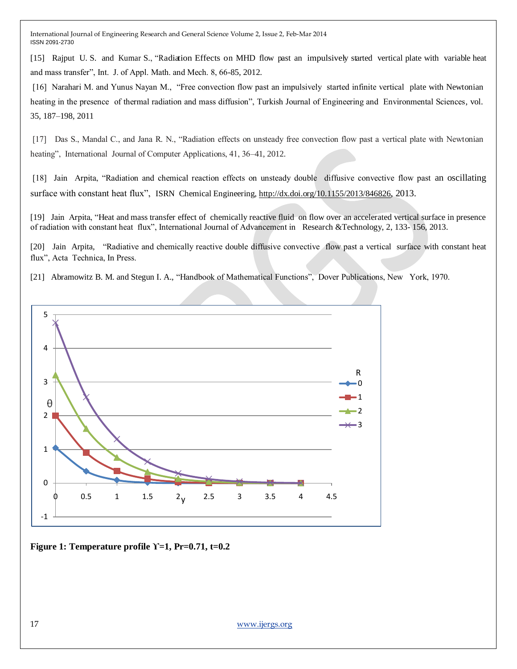[15] Rajput U. S. and Kumar S., "Radiation Effects on MHD flow past an impulsively started vertical plate with variable heat and mass transfer", Int. J. of Appl. Math. and Mech. 8, 66-85, 2012.

[16] Narahari M. and Yunus Nayan M., "Free convection flow past an impulsively started infinite vertical plate with Newtonian heating in the presence of thermal radiation and mass diffusion", Turkish Journal of Engineering and Environmental Sciences, vol. 35, 187–198, 2011

[17] Das S., Mandal C., and Jana R. N., "Radiation effects on unsteady free convection flow past a vertical plate with Newtonian heating", International Journal of Computer Applications, 41, 36–41, 2012.

[18] Jain Arpita, "Radiation and chemical reaction effects on unsteady double diffusive convective flow past an oscillating surface with constant heat flux", ISRN Chemical Engineering, <http://dx.doi.org/10.1155/2013/846826>, 2013.

[19] Jain Arpita, "Heat and mass transfer effect of chemically reactive fluid on flow over an accelerated vertical surface in presence of radiation with constant heat flux", International Journal of Advancement in Research &Technology, 2, 133- 156, 2013.

[20] Jain Arpita, "Radiative and chemically reactive double diffusive convective flow past a vertical surface with constant heat flux", Acta Technica, In Press.

[21] Abramowitz B. M. and Stegun I. A., "Handbook of Mathematical Functions", Dover Publications, New York, 1970.



**Figure 1: Temperature profile ϒ=1, Pr=0.71, t=0.2**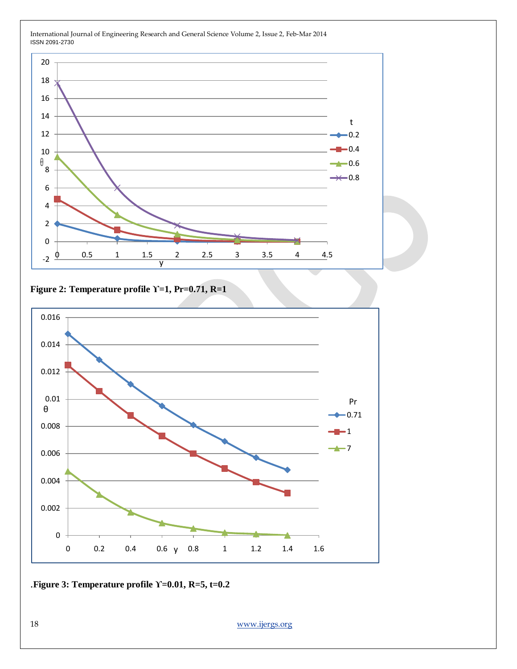

## **Figure 2: Temperature profile ϒ=1, Pr=0.71, R=1**



### .**Figure 3: Temperature profile ϒ=0.01, R=5, t=0.2**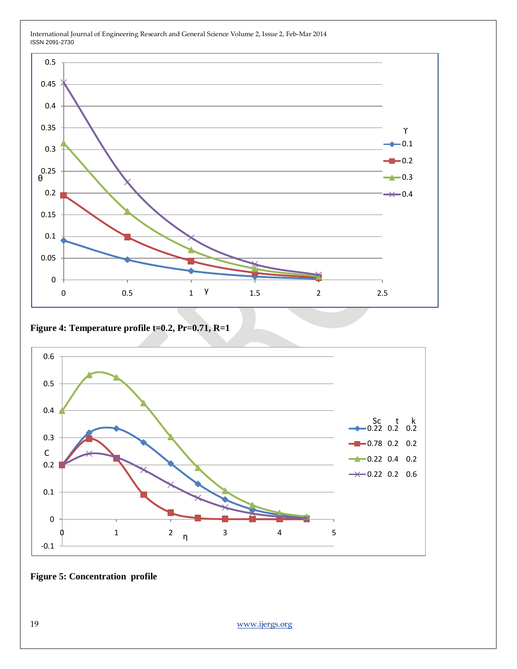

**Figure 4: Temperature profile t=0.2, Pr=0.71, R=1**



**Figure 5: Concentration profile**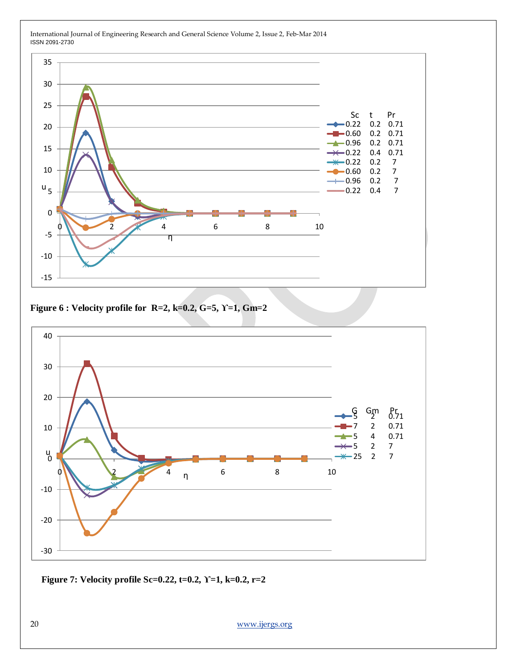![](_page_14_Figure_0.jpeg)

**Figure 6 : Velocity profile for R=2, k=0.2, G=5, ϒ=1, Gm=2**

![](_page_14_Figure_3.jpeg)

**Figure 7: Velocity profile Sc=0.22, t=0.2, ϒ=1, k=0.2, r=2**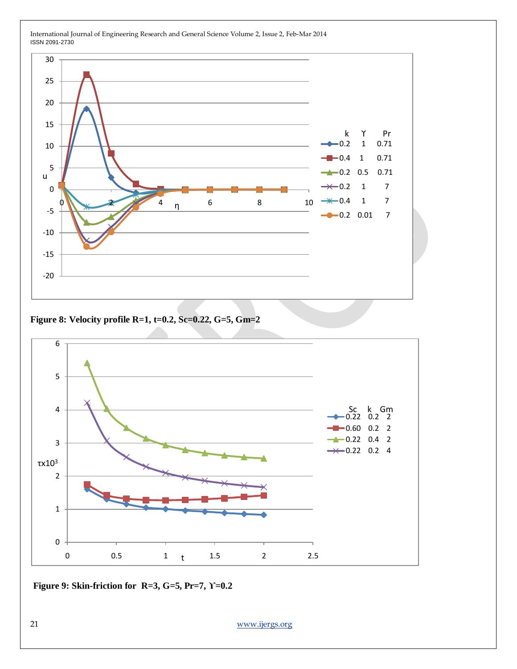![](_page_15_Figure_0.jpeg)

**Figure 8: Velocity profile R=1, t=0.2, Sc=0.22, G=5, Gm=2**

![](_page_15_Figure_3.jpeg)

**Figure 9: Skin-friction for R=3, G=5, Pr=7, ϒ=0.2**